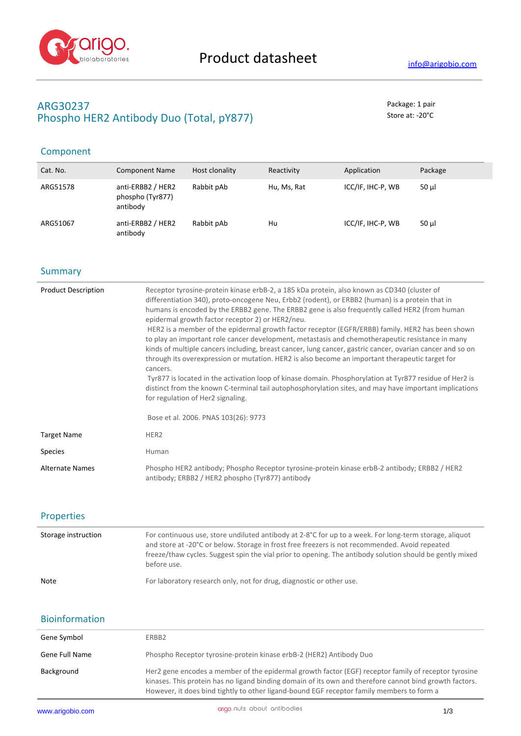

# **ARG30237** Package: 1 pair Phospho HER2 Antibody Duo (Total, pY877) Store at: -20<sup>°</sup>C

## Component

| Cat. No. | <b>Component Name</b>                             | Host clonality | Reactivity  | Application       | Package  |
|----------|---------------------------------------------------|----------------|-------------|-------------------|----------|
| ARG51578 | anti-ERBB2 / HER2<br>phospho (Tyr877)<br>antibody | Rabbit pAb     | Hu, Ms, Rat | ICC/IF, IHC-P, WB | $50 \mu$ |
| ARG51067 | anti-ERBB2 / HER2<br>antibody                     | Rabbit pAb     | Hu          | ICC/IF, IHC-P, WB | 50 ul    |

### **Summary**

| <b>Product Description</b> | Receptor tyrosine-protein kinase erbB-2, a 185 kDa protein, also known as CD340 (cluster of<br>differentiation 340), proto-oncogene Neu, Erbb2 (rodent), or ERBB2 (human) is a protein that in<br>humans is encoded by the ERBB2 gene. The ERBB2 gene is also frequently called HER2 (from human<br>epidermal growth factor receptor 2) or HER2/neu.<br>HER2 is a member of the epidermal growth factor receptor (EGFR/ERBB) family. HER2 has been shown<br>to play an important role cancer development, metastasis and chemotherapeutic resistance in many<br>kinds of multiple cancers including, breast cancer, lung cancer, gastric cancer, ovarian cancer and so on<br>through its overexpression or mutation. HER2 is also become an important therapeutic target for<br>cancers.<br>Tyr877 is located in the activation loop of kinase domain. Phosphorylation at Tyr877 residue of Her2 is<br>distinct from the known C-terminal tail autophosphorylation sites, and may have important implications<br>for regulation of Her2 signaling.<br>Bose et al. 2006. PNAS 103(26): 9773 |
|----------------------------|--------------------------------------------------------------------------------------------------------------------------------------------------------------------------------------------------------------------------------------------------------------------------------------------------------------------------------------------------------------------------------------------------------------------------------------------------------------------------------------------------------------------------------------------------------------------------------------------------------------------------------------------------------------------------------------------------------------------------------------------------------------------------------------------------------------------------------------------------------------------------------------------------------------------------------------------------------------------------------------------------------------------------------------------------------------------------------------------|
| <b>Target Name</b>         | HER <sub>2</sub>                                                                                                                                                                                                                                                                                                                                                                                                                                                                                                                                                                                                                                                                                                                                                                                                                                                                                                                                                                                                                                                                           |
| <b>Species</b>             | Human                                                                                                                                                                                                                                                                                                                                                                                                                                                                                                                                                                                                                                                                                                                                                                                                                                                                                                                                                                                                                                                                                      |
| <b>Alternate Names</b>     | Phospho HER2 antibody; Phospho Receptor tyrosine-protein kinase erbB-2 antibody; ERBB2 / HER2<br>antibody; ERBB2 / HER2 phospho (Tyr877) antibody                                                                                                                                                                                                                                                                                                                                                                                                                                                                                                                                                                                                                                                                                                                                                                                                                                                                                                                                          |

## Properties

| Storage instruction | For continuous use, store undiluted antibody at 2-8°C for up to a week. For long-term storage, aliquot<br>and store at -20°C or below. Storage in frost free freezers is not recommended. Avoid repeated<br>freeze/thaw cycles. Suggest spin the vial prior to opening. The antibody solution should be gently mixed<br>before use. |
|---------------------|-------------------------------------------------------------------------------------------------------------------------------------------------------------------------------------------------------------------------------------------------------------------------------------------------------------------------------------|
| <b>Note</b>         | For laboratory research only, not for drug, diagnostic or other use.                                                                                                                                                                                                                                                                |

## Bioinformation

| Gene Symbol<br>ERBB2<br>Phospho Receptor tyrosine-protein kinase erbB-2 (HER2) Antibody Duo<br>Gene Full Name<br>Her2 gene encodes a member of the epidermal growth factor (EGF) receptor family of receptor tyrosine<br>Background |  |
|-------------------------------------------------------------------------------------------------------------------------------------------------------------------------------------------------------------------------------------|--|
|                                                                                                                                                                                                                                     |  |
|                                                                                                                                                                                                                                     |  |
| kinases. This protein has no ligand binding domain of its own and therefore cannot bind growth factors.<br>However, it does bind tightly to other ligand-bound EGF receptor family members to form a                                |  |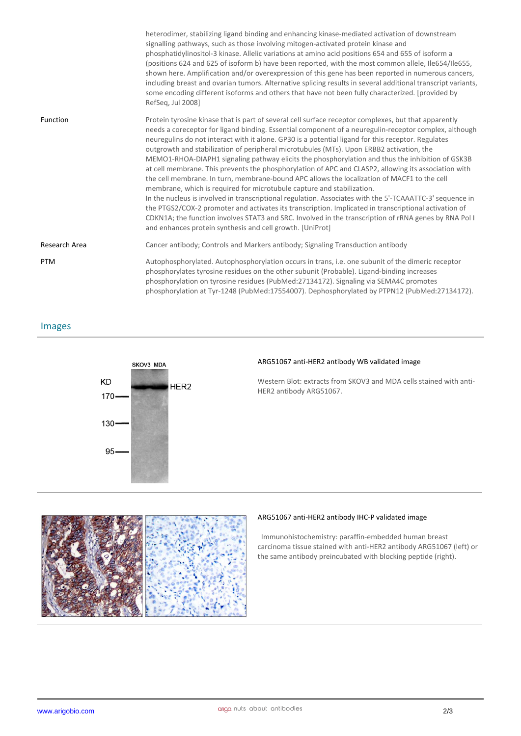|               | heterodimer, stabilizing ligand binding and enhancing kinase-mediated activation of downstream<br>signalling pathways, such as those involving mitogen-activated protein kinase and<br>phosphatidylinositol-3 kinase. Allelic variations at amino acid positions 654 and 655 of isoform a<br>(positions 624 and 625 of isoform b) have been reported, with the most common allele, Ile654/Ile655,<br>shown here. Amplification and/or overexpression of this gene has been reported in numerous cancers,<br>including breast and ovarian tumors. Alternative splicing results in several additional transcript variants,<br>some encoding different isoforms and others that have not been fully characterized. [provided by<br>RefSeg, Jul 2008]                                                                                                                                                                                                                                                                                                                                                                                                                                               |
|---------------|-------------------------------------------------------------------------------------------------------------------------------------------------------------------------------------------------------------------------------------------------------------------------------------------------------------------------------------------------------------------------------------------------------------------------------------------------------------------------------------------------------------------------------------------------------------------------------------------------------------------------------------------------------------------------------------------------------------------------------------------------------------------------------------------------------------------------------------------------------------------------------------------------------------------------------------------------------------------------------------------------------------------------------------------------------------------------------------------------------------------------------------------------------------------------------------------------|
| Function      | Protein tyrosine kinase that is part of several cell surface receptor complexes, but that apparently<br>needs a coreceptor for ligand binding. Essential component of a neuregulin-receptor complex, although<br>neuregulins do not interact with it alone. GP30 is a potential ligand for this receptor. Regulates<br>outgrowth and stabilization of peripheral microtubules (MTs). Upon ERBB2 activation, the<br>MEMO1-RHOA-DIAPH1 signaling pathway elicits the phosphorylation and thus the inhibition of GSK3B<br>at cell membrane. This prevents the phosphorylation of APC and CLASP2, allowing its association with<br>the cell membrane. In turn, membrane-bound APC allows the localization of MACF1 to the cell<br>membrane, which is required for microtubule capture and stabilization.<br>In the nucleus is involved in transcriptional regulation. Associates with the 5'-TCAAATTC-3' sequence in<br>the PTGS2/COX-2 promoter and activates its transcription. Implicated in transcriptional activation of<br>CDKN1A; the function involves STAT3 and SRC. Involved in the transcription of rRNA genes by RNA Pol I<br>and enhances protein synthesis and cell growth. [UniProt] |
| Research Area | Cancer antibody; Controls and Markers antibody; Signaling Transduction antibody                                                                                                                                                                                                                                                                                                                                                                                                                                                                                                                                                                                                                                                                                                                                                                                                                                                                                                                                                                                                                                                                                                                 |
| <b>PTM</b>    | Autophosphorylated. Autophosphorylation occurs in trans, i.e. one subunit of the dimeric receptor<br>phosphorylates tyrosine residues on the other subunit (Probable). Ligand-binding increases<br>phosphorylation on tyrosine residues (PubMed:27134172). Signaling via SEMA4C promotes<br>phosphorylation at Tyr-1248 (PubMed:17554007). Dephosphorylated by PTPN12 (PubMed:27134172).                                                                                                                                                                                                                                                                                                                                                                                                                                                                                                                                                                                                                                                                                                                                                                                                        |

Images



### **ARG51067 anti-HER2 antibody WB validated image**

Western Blot: extracts from SKOV3 and MDA cells stained with anti-HER2 antibody ARG51067.



#### **ARG51067 anti-HER2 antibody IHC-P validated image**

 Immunohistochemistry: paraffin-embedded human breast carcinoma tissue stained with anti-HER2 antibody ARG51067 (left) or the same antibody preincubated with blocking peptide (right).